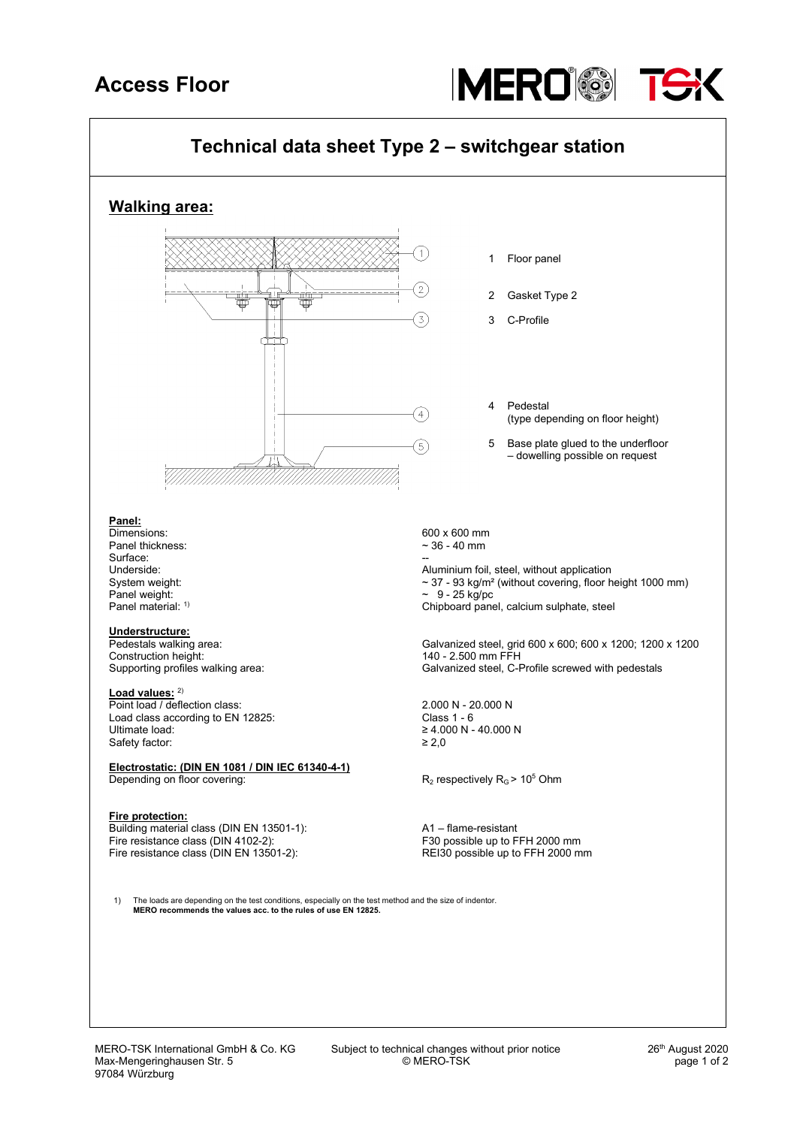